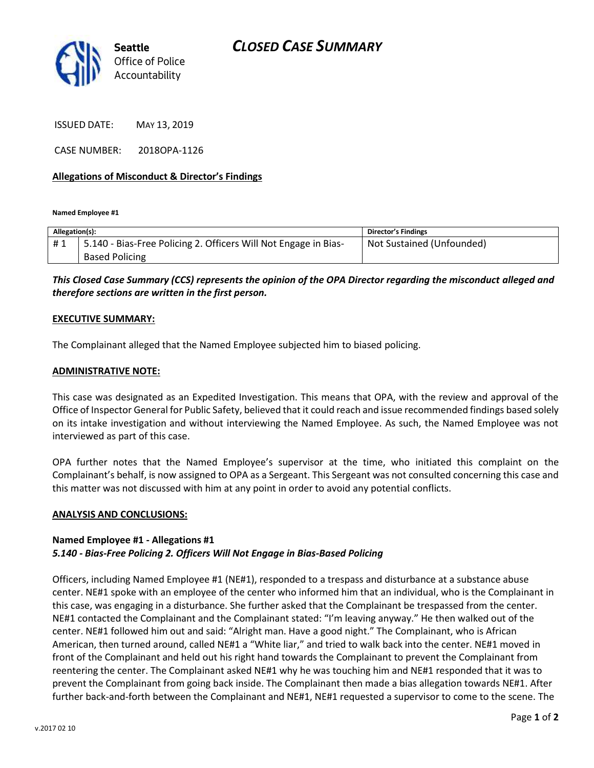

ISSUED DATE: MAY 13, 2019

CASE NUMBER: 2018OPA-1126

## **Allegations of Misconduct & Director's Findings**

**Named Employee #1**

| Allegation(s): |                                                                 | Director's Findings       |
|----------------|-----------------------------------------------------------------|---------------------------|
| #1             | 5.140 - Bias-Free Policing 2. Officers Will Not Engage in Bias- | Not Sustained (Unfounded) |
|                | <b>Based Policing</b>                                           |                           |

*This Closed Case Summary (CCS) represents the opinion of the OPA Director regarding the misconduct alleged and therefore sections are written in the first person.* 

#### **EXECUTIVE SUMMARY:**

The Complainant alleged that the Named Employee subjected him to biased policing.

### **ADMINISTRATIVE NOTE:**

This case was designated as an Expedited Investigation. This means that OPA, with the review and approval of the Office of Inspector General for Public Safety, believed that it could reach and issue recommended findings based solely on its intake investigation and without interviewing the Named Employee. As such, the Named Employee was not interviewed as part of this case.

OPA further notes that the Named Employee's supervisor at the time, who initiated this complaint on the Complainant's behalf, is now assigned to OPA as a Sergeant. This Sergeant was not consulted concerning this case and this matter was not discussed with him at any point in order to avoid any potential conflicts.

### **ANALYSIS AND CONCLUSIONS:**

### **Named Employee #1 - Allegations #1** *5.140 - Bias-Free Policing 2. Officers Will Not Engage in Bias-Based Policing*

Officers, including Named Employee #1 (NE#1), responded to a trespass and disturbance at a substance abuse center. NE#1 spoke with an employee of the center who informed him that an individual, who is the Complainant in this case, was engaging in a disturbance. She further asked that the Complainant be trespassed from the center. NE#1 contacted the Complainant and the Complainant stated: "I'm leaving anyway." He then walked out of the center. NE#1 followed him out and said: "Alright man. Have a good night." The Complainant, who is African American, then turned around, called NE#1 a "White liar," and tried to walk back into the center. NE#1 moved in front of the Complainant and held out his right hand towards the Complainant to prevent the Complainant from reentering the center. The Complainant asked NE#1 why he was touching him and NE#1 responded that it was to prevent the Complainant from going back inside. The Complainant then made a bias allegation towards NE#1. After further back-and-forth between the Complainant and NE#1, NE#1 requested a supervisor to come to the scene. The